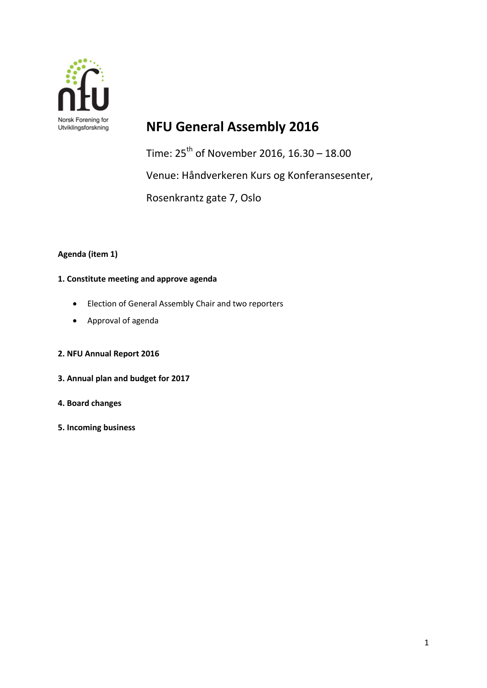

# **NFU General Assembly 2016**

Time:  $25^{th}$  of November 2016, 16.30 – 18.00 Venue: Håndverkeren Kurs og Konferansesenter, Rosenkrantz gate 7, Oslo

## **Agenda (item 1)**

### **1. Constitute meeting and approve agenda**

- Election of General Assembly Chair and two reporters
- Approval of agenda

### **2. NFU Annual Report 2016**

- **3. Annual plan and budget for 2017**
- **4. Board changes**
- **5. Incoming business**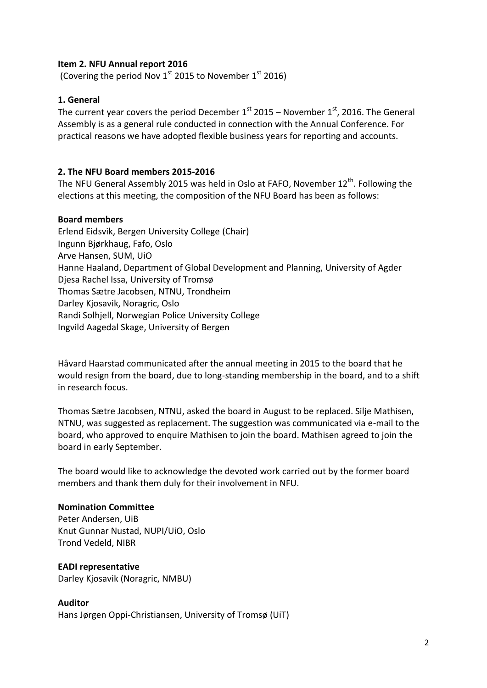## **Item 2. NFU Annual report 2016**

(Covering the period Nov  $1^{\text{st}}$  2015 to November  $1^{\text{st}}$  2016)

## **1. General**

The current year covers the period December  $1<sup>st</sup>$  2015 – November  $1<sup>st</sup>$ , 2016. The General Assembly is as a general rule conducted in connection with the Annual Conference. For practical reasons we have adopted flexible business years for reporting and accounts.

## **2. The NFU Board members 2015-2016**

The NFU General Assembly 2015 was held in Oslo at FAFO, November 12<sup>th</sup>. Following the elections at this meeting, the composition of the NFU Board has been as follows:

### **Board members**

Erlend Eidsvik, Bergen University College (Chair) Ingunn Bjørkhaug, Fafo, Oslo Arve Hansen, SUM, UiO Hanne Haaland, Department of Global Development and Planning, University of Agder Djesa Rachel Issa, University of Tromsø Thomas Sætre Jacobsen, NTNU, Trondheim Darley Kjosavik, Noragric, Oslo Randi Solhjell, Norwegian Police University College Ingvild Aagedal Skage, University of Bergen

Håvard Haarstad communicated after the annual meeting in 2015 to the board that he would resign from the board, due to long-standing membership in the board, and to a shift in research focus.

Thomas Sætre Jacobsen, NTNU, asked the board in August to be replaced. Silje Mathisen, NTNU, was suggested as replacement. The suggestion was communicated via e-mail to the board, who approved to enquire Mathisen to join the board. Mathisen agreed to join the board in early September.

The board would like to acknowledge the devoted work carried out by the former board members and thank them duly for their involvement in NFU.

### **Nomination Committee**

Peter Andersen, UiB Knut Gunnar Nustad, NUPI/UiO, Oslo Trond Vedeld, NIBR

### **EADI representative**

Darley Kjosavik (Noragric, NMBU)

### **Auditor**

Hans Jørgen Oppi-Christiansen, University of Tromsø (UiT)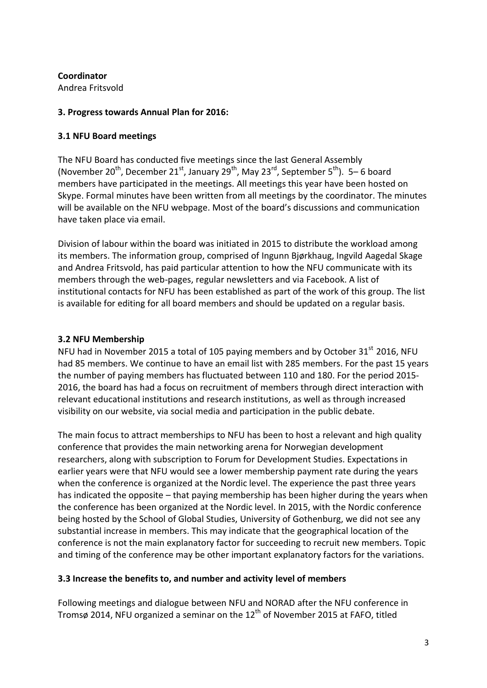**Coordinator** 

Andrea Fritsvold

## **3. Progress towards Annual Plan for 2016:**

# **3.1 NFU Board meetings**

The NFU Board has conducted five meetings since the last General Assembly (November 20<sup>th</sup>, December 21<sup>st</sup>, January 29<sup>th</sup>, May 23<sup>rd</sup>, September 5<sup>th</sup>). 5–6 board members have participated in the meetings. All meetings this year have been hosted on Skype. Formal minutes have been written from all meetings by the coordinator. The minutes will be available on the NFU webpage. Most of the board's discussions and communication have taken place via email.

Division of labour within the board was initiated in 2015 to distribute the workload among its members. The information group, comprised of Ingunn Bjørkhaug, Ingvild Aagedal Skage and Andrea Fritsvold, has paid particular attention to how the NFU communicate with its members through the web-pages, regular newsletters and via Facebook. A list of institutional contacts for NFU has been established as part of the work of this group. The list is available for editing for all board members and should be updated on a regular basis.

# **3.2 NFU Membership**

NFU had in November 2015 a total of 105 paying members and by October 31<sup>st</sup> 2016, NFU had 85 members. We continue to have an email list with 285 members. For the past 15 years the number of paying members has fluctuated between 110 and 180. For the period 2015- 2016, the board has had a focus on recruitment of members through direct interaction with relevant educational institutions and research institutions, as well as through increased visibility on our website, via social media and participation in the public debate.

The main focus to attract memberships to NFU has been to host a relevant and high quality conference that provides the main networking arena for Norwegian development researchers, along with subscription to Forum for Development Studies. Expectations in earlier years were that NFU would see a lower membership payment rate during the years when the conference is organized at the Nordic level. The experience the past three years has indicated the opposite – that paying membership has been higher during the years when the conference has been organized at the Nordic level. In 2015, with the Nordic conference being hosted by the School of Global Studies, University of Gothenburg, we did not see any substantial increase in members. This may indicate that the geographical location of the conference is not the main explanatory factor for succeeding to recruit new members. Topic and timing of the conference may be other important explanatory factors for the variations.

# **3.3 Increase the benefits to, and number and activity level of members**

Following meetings and dialogue between NFU and NORAD after the NFU conference in Tromsø 2014, NFU organized a seminar on the 12<sup>th</sup> of November 2015 at FAFO, titled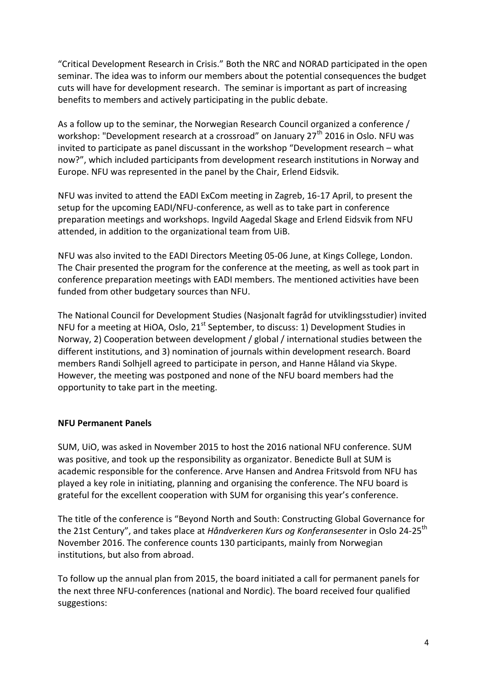"Critical Development Research in Crisis." Both the NRC and NORAD participated in the open seminar. The idea was to inform our members about the potential consequences the budget cuts will have for development research. The seminar is important as part of increasing benefits to members and actively participating in the public debate.

As a follow up to the seminar, the Norwegian Research Council organized a conference / workshop: "Development research at a crossroad" on January  $27<sup>th</sup>$  2016 in Oslo. NFU was invited to participate as panel discussant in the workshop "Development research – what now?", which included participants from development research institutions in Norway and Europe. NFU was represented in the panel by the Chair, Erlend Eidsvik.

NFU was invited to attend the EADI ExCom meeting in Zagreb, 16-17 April, to present the setup for the upcoming EADI/NFU-conference, as well as to take part in conference preparation meetings and workshops. Ingvild Aagedal Skage and Erlend Eidsvik from NFU attended, in addition to the organizational team from UiB.

NFU was also invited to the EADI Directors Meeting 05-06 June, at Kings College, London. The Chair presented the program for the conference at the meeting, as well as took part in conference preparation meetings with EADI members. The mentioned activities have been funded from other budgetary sources than NFU.

The National Council for Development Studies (Nasjonalt fagråd for utviklingsstudier) invited NFU for a meeting at HiOA, Oslo,  $21<sup>st</sup>$  September, to discuss: 1) Development Studies in Norway, 2) Cooperation between development / global / international studies between the different institutions, and 3) nomination of journals within development research. Board members Randi Solhjell agreed to participate in person, and Hanne Håland via Skype. However, the meeting was postponed and none of the NFU board members had the opportunity to take part in the meeting.

### **NFU Permanent Panels**

SUM, UiO, was asked in November 2015 to host the 2016 national NFU conference. SUM was positive, and took up the responsibility as organizator. Benedicte Bull at SUM is academic responsible for the conference. Arve Hansen and Andrea Fritsvold from NFU has played a key role in initiating, planning and organising the conference. The NFU board is grateful for the excellent cooperation with SUM for organising this year's conference.

The title of the conference is "Beyond North and South: Constructing Global Governance for the 21st Century", and takes place at *Håndverkeren Kurs og Konferansesenter* in Oslo 24-25<sup>th</sup> November 2016. The conference counts 130 participants, mainly from Norwegian institutions, but also from abroad.

To follow up the annual plan from 2015, the board initiated a call for permanent panels for the next three NFU-conferences (national and Nordic). The board received four qualified suggestions: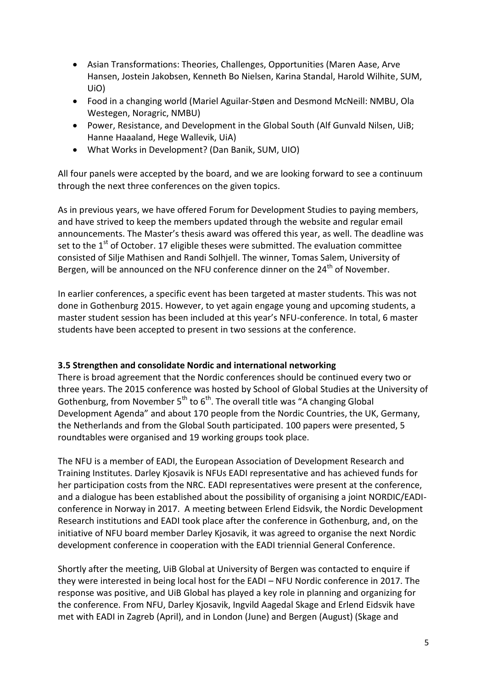- Asian Transformations: Theories, Challenges, Opportunities (Maren Aase, Arve Hansen, Jostein Jakobsen, Kenneth Bo Nielsen, Karina Standal, Harold Wilhite, SUM, UiO)
- Food in a changing world (Mariel Aguilar-Støen and Desmond McNeill: NMBU, Ola Westegen, Noragric, NMBU)
- Power, Resistance, and Development in the Global South (Alf Gunvald Nilsen, UiB; Hanne Haaaland, Hege Wallevik, UiA)
- What Works in Development? (Dan Banik, SUM, UIO)

All four panels were accepted by the board, and we are looking forward to see a continuum through the next three conferences on the given topics.

As in previous years, we have offered Forum for Development Studies to paying members, and have strived to keep the members updated through the website and regular email announcements. The Master's thesis award was offered this year, as well. The deadline was set to the  $1<sup>st</sup>$  of October. 17 eligible theses were submitted. The evaluation committee consisted of Silje Mathisen and Randi Solhjell. The winner, Tomas Salem, University of Bergen, will be announced on the NFU conference dinner on the 24<sup>th</sup> of November.

In earlier conferences, a specific event has been targeted at master students. This was not done in Gothenburg 2015. However, to yet again engage young and upcoming students, a master student session has been included at this year's NFU-conference. In total, 6 master students have been accepted to present in two sessions at the conference.

## **3.5 Strengthen and consolidate Nordic and international networking**

There is broad agreement that the Nordic conferences should be continued every two or three years. The 2015 conference was hosted by School of Global Studies at the University of Gothenburg, from November  $5^{th}$  to  $6^{th}$ . The overall title was "A changing Global Development Agenda" and about 170 people from the Nordic Countries, the UK, Germany, the Netherlands and from the Global South participated. 100 papers were presented, 5 roundtables were organised and 19 working groups took place.

The NFU is a member of EADI, the European Association of Development Research and Training Institutes. Darley Kjosavik is NFUs EADI representative and has achieved funds for her participation costs from the NRC. EADI representatives were present at the conference, and a dialogue has been established about the possibility of organising a joint NORDIC/EADIconference in Norway in 2017. A meeting between Erlend Eidsvik, the Nordic Development Research institutions and EADI took place after the conference in Gothenburg, and, on the initiative of NFU board member Darley Kjosavik, it was agreed to organise the next Nordic development conference in cooperation with the EADI triennial General Conference.

Shortly after the meeting, UiB Global at University of Bergen was contacted to enquire if they were interested in being local host for the EADI – NFU Nordic conference in 2017. The response was positive, and UiB Global has played a key role in planning and organizing for the conference. From NFU, Darley Kjosavik, Ingvild Aagedal Skage and Erlend Eidsvik have met with EADI in Zagreb (April), and in London (June) and Bergen (August) (Skage and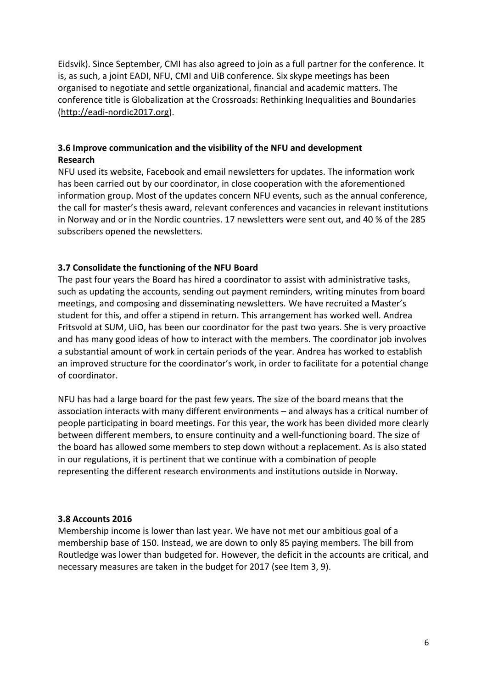Eidsvik). Since September, CMI has also agreed to join as a full partner for the conference. It is, as such, a joint EADI, NFU, CMI and UiB conference. Six skype meetings has been organised to negotiate and settle organizational, financial and academic matters. The conference title is Globalization at the Crossroads: Rethinking Inequalities and Boundaries [\(http://eadi-nordic2017.org\)](http://eadi-nordic2017.org/).

## **3.6 Improve communication and the visibility of the NFU and development Research**

NFU used its website, Facebook and email newsletters for updates. The information work has been carried out by our coordinator, in close cooperation with the aforementioned information group. Most of the updates concern NFU events, such as the annual conference, the call for master's thesis award, relevant conferences and vacancies in relevant institutions in Norway and or in the Nordic countries. 17 newsletters were sent out, and 40 % of the 285 subscribers opened the newsletters.

# **3.7 Consolidate the functioning of the NFU Board**

The past four years the Board has hired a coordinator to assist with administrative tasks, such as updating the accounts, sending out payment reminders, writing minutes from board meetings, and composing and disseminating newsletters. We have recruited a Master's student for this, and offer a stipend in return. This arrangement has worked well. Andrea Fritsvold at SUM, UiO, has been our coordinator for the past two years. She is very proactive and has many good ideas of how to interact with the members. The coordinator job involves a substantial amount of work in certain periods of the year. Andrea has worked to establish an improved structure for the coordinator's work, in order to facilitate for a potential change of coordinator.

NFU has had a large board for the past few years. The size of the board means that the association interacts with many different environments – and always has a critical number of people participating in board meetings. For this year, the work has been divided more clearly between different members, to ensure continuity and a well-functioning board. The size of the board has allowed some members to step down without a replacement. As is also stated in our regulations, it is pertinent that we continue with a combination of people representing the different research environments and institutions outside in Norway.

## **3.8 Accounts 2016**

Membership income is lower than last year. We have not met our ambitious goal of a membership base of 150. Instead, we are down to only 85 paying members. The bill from Routledge was lower than budgeted for. However, the deficit in the accounts are critical, and necessary measures are taken in the budget for 2017 (see Item 3, 9).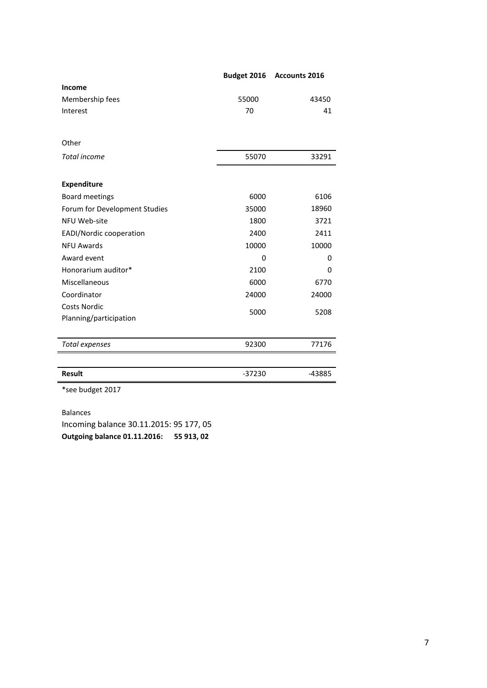| Income<br>Membership fees<br>55000<br>43450<br>41<br>Interest<br>70<br>Other<br><b>Total income</b><br>55070<br>33291<br><b>Expenditure</b><br>6106<br><b>Board meetings</b><br>6000<br>18960<br>Forum for Development Studies<br>35000<br>NFU Web-site<br>1800<br>3721<br>EADI/Nordic cooperation<br>2400<br>2411<br><b>NFU Awards</b><br>10000<br>10000<br>Award event<br>$\Omega$<br>0<br>Honorarium auditor*<br>2100<br>0<br>Miscellaneous<br>6000<br>6770<br>Coordinator<br>24000<br>24000<br><b>Costs Nordic</b><br>5000<br>5208<br>Planning/participation<br>92300<br>77176<br>Total expenses<br><b>Result</b><br>$-37230$<br>-43885<br>*see budget 2017 | Budget 2016 | <b>Accounts 2016</b> |
|-----------------------------------------------------------------------------------------------------------------------------------------------------------------------------------------------------------------------------------------------------------------------------------------------------------------------------------------------------------------------------------------------------------------------------------------------------------------------------------------------------------------------------------------------------------------------------------------------------------------------------------------------------------------|-------------|----------------------|
|                                                                                                                                                                                                                                                                                                                                                                                                                                                                                                                                                                                                                                                                 |             |                      |
|                                                                                                                                                                                                                                                                                                                                                                                                                                                                                                                                                                                                                                                                 |             |                      |
|                                                                                                                                                                                                                                                                                                                                                                                                                                                                                                                                                                                                                                                                 |             |                      |
|                                                                                                                                                                                                                                                                                                                                                                                                                                                                                                                                                                                                                                                                 |             |                      |
|                                                                                                                                                                                                                                                                                                                                                                                                                                                                                                                                                                                                                                                                 |             |                      |
|                                                                                                                                                                                                                                                                                                                                                                                                                                                                                                                                                                                                                                                                 |             |                      |
|                                                                                                                                                                                                                                                                                                                                                                                                                                                                                                                                                                                                                                                                 |             |                      |
|                                                                                                                                                                                                                                                                                                                                                                                                                                                                                                                                                                                                                                                                 |             |                      |
|                                                                                                                                                                                                                                                                                                                                                                                                                                                                                                                                                                                                                                                                 |             |                      |
|                                                                                                                                                                                                                                                                                                                                                                                                                                                                                                                                                                                                                                                                 |             |                      |
|                                                                                                                                                                                                                                                                                                                                                                                                                                                                                                                                                                                                                                                                 |             |                      |
|                                                                                                                                                                                                                                                                                                                                                                                                                                                                                                                                                                                                                                                                 |             |                      |
|                                                                                                                                                                                                                                                                                                                                                                                                                                                                                                                                                                                                                                                                 |             |                      |
|                                                                                                                                                                                                                                                                                                                                                                                                                                                                                                                                                                                                                                                                 |             |                      |
|                                                                                                                                                                                                                                                                                                                                                                                                                                                                                                                                                                                                                                                                 |             |                      |
|                                                                                                                                                                                                                                                                                                                                                                                                                                                                                                                                                                                                                                                                 |             |                      |
|                                                                                                                                                                                                                                                                                                                                                                                                                                                                                                                                                                                                                                                                 |             |                      |
|                                                                                                                                                                                                                                                                                                                                                                                                                                                                                                                                                                                                                                                                 |             |                      |
|                                                                                                                                                                                                                                                                                                                                                                                                                                                                                                                                                                                                                                                                 |             |                      |
|                                                                                                                                                                                                                                                                                                                                                                                                                                                                                                                                                                                                                                                                 |             |                      |
|                                                                                                                                                                                                                                                                                                                                                                                                                                                                                                                                                                                                                                                                 |             |                      |
|                                                                                                                                                                                                                                                                                                                                                                                                                                                                                                                                                                                                                                                                 |             |                      |
|                                                                                                                                                                                                                                                                                                                                                                                                                                                                                                                                                                                                                                                                 |             |                      |
|                                                                                                                                                                                                                                                                                                                                                                                                                                                                                                                                                                                                                                                                 |             |                      |

Balances Incoming balance 30.11.2015: 95 177, 05 **Outgoing balance 01.11.2016: 55 913, 02**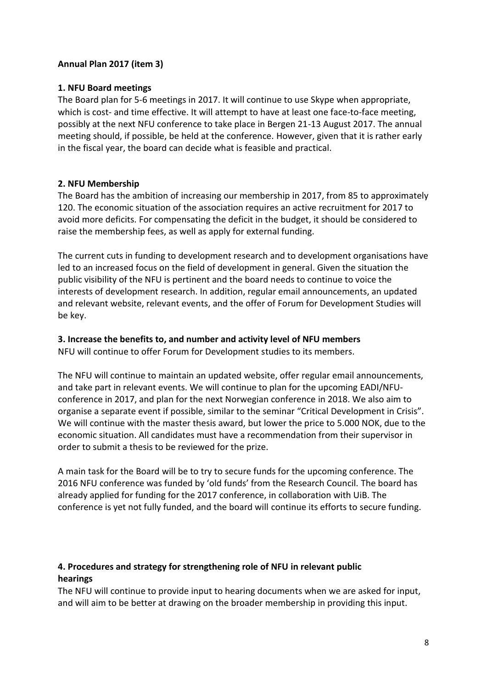## **Annual Plan 2017 (item 3)**

## **1. NFU Board meetings**

The Board plan for 5-6 meetings in 2017. It will continue to use Skype when appropriate, which is cost- and time effective. It will attempt to have at least one face-to-face meeting, possibly at the next NFU conference to take place in Bergen 21-13 August 2017. The annual meeting should, if possible, be held at the conference. However, given that it is rather early in the fiscal year, the board can decide what is feasible and practical.

## **2. NFU Membership**

The Board has the ambition of increasing our membership in 2017, from 85 to approximately 120. The economic situation of the association requires an active recruitment for 2017 to avoid more deficits. For compensating the deficit in the budget, it should be considered to raise the membership fees, as well as apply for external funding.

The current cuts in funding to development research and to development organisations have led to an increased focus on the field of development in general. Given the situation the public visibility of the NFU is pertinent and the board needs to continue to voice the interests of development research. In addition, regular email announcements, an updated and relevant website, relevant events, and the offer of Forum for Development Studies will be key.

## **3. Increase the benefits to, and number and activity level of NFU members**

NFU will continue to offer Forum for Development studies to its members.

The NFU will continue to maintain an updated website, offer regular email announcements, and take part in relevant events. We will continue to plan for the upcoming EADI/NFUconference in 2017, and plan for the next Norwegian conference in 2018. We also aim to organise a separate event if possible, similar to the seminar "Critical Development in Crisis". We will continue with the master thesis award, but lower the price to 5.000 NOK, due to the economic situation. All candidates must have a recommendation from their supervisor in order to submit a thesis to be reviewed for the prize.

A main task for the Board will be to try to secure funds for the upcoming conference. The 2016 NFU conference was funded by 'old funds' from the Research Council. The board has already applied for funding for the 2017 conference, in collaboration with UiB. The conference is yet not fully funded, and the board will continue its efforts to secure funding.

# **4. Procedures and strategy for strengthening role of NFU in relevant public hearings**

The NFU will continue to provide input to hearing documents when we are asked for input, and will aim to be better at drawing on the broader membership in providing this input.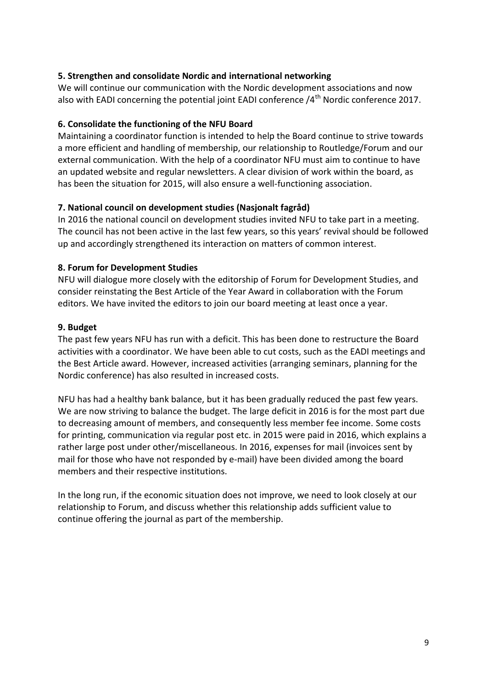## **5. Strengthen and consolidate Nordic and international networking**

We will continue our communication with the Nordic development associations and now also with EADI concerning the potential joint EADI conference  $/4<sup>th</sup>$  Nordic conference 2017.

### **6. Consolidate the functioning of the NFU Board**

Maintaining a coordinator function is intended to help the Board continue to strive towards a more efficient and handling of membership, our relationship to Routledge/Forum and our external communication. With the help of a coordinator NFU must aim to continue to have an updated website and regular newsletters. A clear division of work within the board, as has been the situation for 2015, will also ensure a well-functioning association.

#### **7. National council on development studies (Nasjonalt fagråd)**

In 2016 the national council on development studies invited NFU to take part in a meeting. The council has not been active in the last few years, so this years' revival should be followed up and accordingly strengthened its interaction on matters of common interest.

#### **8. Forum for Development Studies**

NFU will dialogue more closely with the editorship of Forum for Development Studies, and consider reinstating the Best Article of the Year Award in collaboration with the Forum editors. We have invited the editors to join our board meeting at least once a year.

#### **9. Budget**

The past few years NFU has run with a deficit. This has been done to restructure the Board activities with a coordinator. We have been able to cut costs, such as the EADI meetings and the Best Article award. However, increased activities (arranging seminars, planning for the Nordic conference) has also resulted in increased costs.

NFU has had a healthy bank balance, but it has been gradually reduced the past few years. We are now striving to balance the budget. The large deficit in 2016 is for the most part due to decreasing amount of members, and consequently less member fee income. Some costs for printing, communication via regular post etc. in 2015 were paid in 2016, which explains a rather large post under other/miscellaneous. In 2016, expenses for mail (invoices sent by mail for those who have not responded by e-mail) have been divided among the board members and their respective institutions.

In the long run, if the economic situation does not improve, we need to look closely at our relationship to Forum, and discuss whether this relationship adds sufficient value to continue offering the journal as part of the membership.